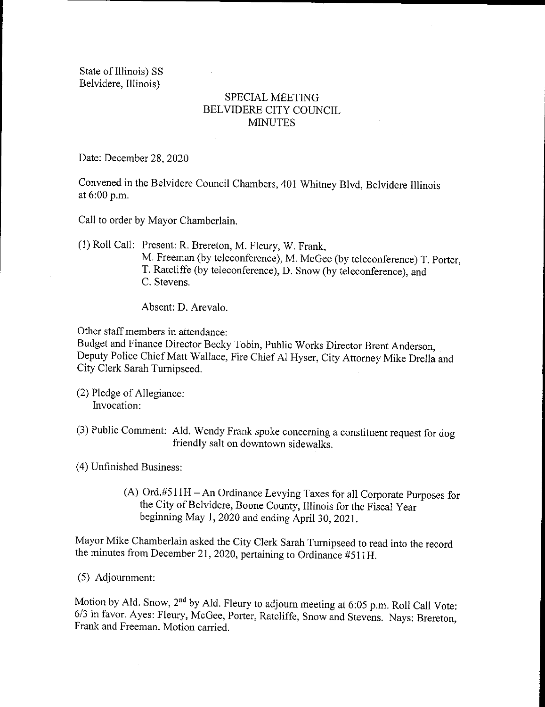State of Illinois) SS Belvidere, Illinois)

## SPECIAL MEETING BELVIDERE CITY COUNCIL **MINUTES**

Date: December 28, 2020

Convened in the Belvidere Council Chambers, 401 Whitney Blvd, Belvidere Illinois at 6:00 p.m.

Call to order by Mayor Chamberlain.

1) Roll Call: Present: R. Brereton, M. Fleury, W. Frank, M. Freeman (by teleconference), M. McGee (by teleconference) T. Porter,

T. Ratcliffe (by teleconference), D. Snow (by teleconference), and C. Stevens.

Absent: D. Arevalo.

Other staff members in attendance:

Budget and Finance Director Becky Tobin, Public Works Director Brent Anderson, Deputy Police Chief Matt Wallace, Fire Chief Al Hyser, City Attorney Mike Drella and City Clerk Sarah Turnipseed.

- 2) Pledge of Allegiance: Invocation:
- 3) Public Comment: Ald. Wendy Frank spoke concerning a constituent request for dog friendly salt on downtown sidewalks.

4) Unfinished Business:

(A) Ord.#511H - An Ordinance Levying Taxes for all Corporate Purposes for the City of Belvidere, Boone County, Illinois for the Fiscal Year beginning May 1, 2020 and ending April 30, 2021.

Mayor Mike Chamberlain asked the City Clerk Sarah Turnipseed to read into the record the minutes from December 21, 2020, pertaining to Ordinance #511H.

5) Adjournment:

Motion by Ald. Snow,  $2<sup>nd</sup>$  by Ald. Fleury to adjourn meeting at 6:05 p.m. Roll Call Vote: 6/3 in favor. Ayes: Fleury, McGee, Porter, Ratcliffe, Snow and Stevens. Nays: Brereton, Frank and Freeman. Motion carried.